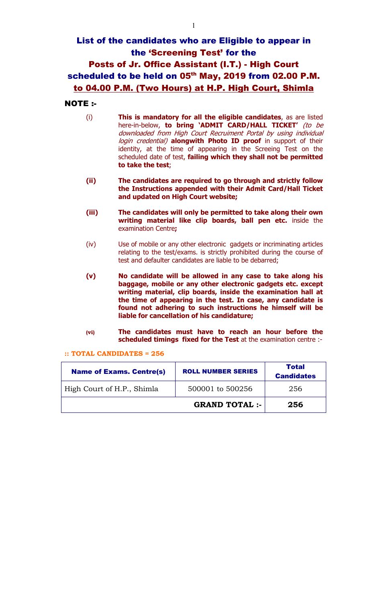## List of the candidates who are Eligible to appear in the 'Screening Test' for the Posts of Jr. Office Assistant (I.T.) - High Court scheduled to be held on 05<sup>th</sup> May, 2019 from 02.00 P.M. to 04.00 P.M. (Two Hours) at H.P. High Court, Shimla

## NOTE :-

- (i) This is mandatory for all the eligible candidates, as are listed here-in-below, to bring 'ADMIT CARD/HALL TICKET' (to be downloaded from High Court Recruiment Portal by using individual login credential) alongwith Photo ID proof in support of their identity, at the time of appearing in the Screeing Test on the scheduled date of test, failing which they shall not be permitted to take the test;
- (ii) The candidates are required to go through and strictly follow the Instructions appended with their Admit Card/Hall Ticket and updated on High Court website;
- (iii) The candidates will only be permitted to take along their own writing material like clip boards, ball pen etc. inside the examination Centre;
- (iv) Use of mobile or any other electronic gadgets or incriminating articles relating to the test/exams. is strictly prohibited during the course of test and defaulter candidates are liable to be debarred;
- (v) No candidate will be allowed in any case to take along his baggage, mobile or any other electronic gadgets etc. except writing material, clip boards, inside the examination hall at the time of appearing in the test. In case, any candidate is found not adhering to such instructions he himself will be liable for cancellation of his candidature;
- (vi) The candidates must have to reach an hour before the scheduled timings fixed for the Test at the examination centre :-

:: TOTAL CANDIDATES = 256

| <b>Name of Exams. Centre(s)</b> | <b>ROLL NUMBER SERIES</b> | Total<br><b>Candidates</b> |
|---------------------------------|---------------------------|----------------------------|
| High Court of H.P., Shimla      | 500001 to 500256          | 256                        |
|                                 | <b>GRAND TOTAL :-</b>     | 256                        |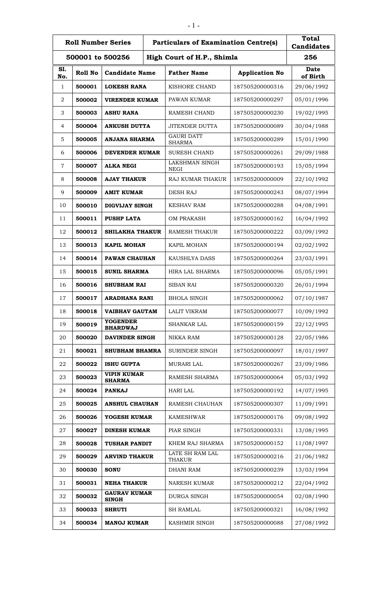|            | <b>Roll Number Series</b><br><b>Particulars of Examination Centre(s)</b> |                                     |                                      | <b>Total</b><br><b>Candidates</b> |                         |
|------------|--------------------------------------------------------------------------|-------------------------------------|--------------------------------------|-----------------------------------|-------------------------|
|            | High Court of H.P., Shimla<br>500001 to 500256                           |                                     |                                      | 256                               |                         |
| S1.<br>No. | Roll No                                                                  | <b>Candidate Name</b>               | <b>Father Name</b>                   | <b>Application No</b>             | <b>Date</b><br>of Birth |
| 1          | 500001                                                                   | <b>LOKESH RANA</b>                  | KISHORE CHAND                        | 187505200000316                   | 29/06/1992              |
| 2          | 500002                                                                   | <b>VIRENDER KUMAR</b>               | PAWAN KUMAR                          | 187505200000297                   | 05/01/1996              |
| 3          | 500003                                                                   | <b>ASHU RANA</b>                    | <b>RAMESH CHAND</b>                  | 187505200000230                   | 19/02/1995              |
| 4          | 500004                                                                   | <b>ANKUSH DUTTA</b>                 | JITENDER DUTTA                       | 187505200000089                   | 30/04/1988              |
| 5          | 500005                                                                   | ANJANA SHARMA                       | <b>GAURI DATT</b><br><b>SHARMA</b>   | 187505200000289                   | 15/01/1990              |
| 6          | 500006                                                                   | DEVENDER KUMAR                      | <b>SURESH CHAND</b>                  | 187505200000261                   | 29/09/1988              |
| 7          | 500007                                                                   | <b>ALKA NEGI</b>                    | <b>LAKSHMAN SINGH</b><br><b>NEGI</b> | 187505200000193                   | 15/05/1994              |
| 8          | 500008                                                                   | <b>AJAY THAKUR</b>                  | <b>RAJ KUMAR THAKUR</b>              | 187505200000009                   | 22/10/1992              |
| 9          | 500009                                                                   | <b>AMIT KUMAR</b>                   | <b>DESH RAJ</b>                      | 187505200000243                   | 08/07/1994              |
| 10         | 500010                                                                   | DIGVIJAY SINGH                      | <b>KESHAV RAM</b>                    | 187505200000288                   | 04/08/1991              |
| 11         | 500011                                                                   | <b>PUSHP LATA</b>                   | <b>OM PRAKASH</b>                    | 187505200000162                   | 16/04/1992              |
| 12         | 500012                                                                   | <b>SHILAKHA THAKUR</b>              | <b>RAMESH THAKUR</b>                 | 187505200000222                   | 03/09/1992              |
| 13         | 500013                                                                   | <b>KAPIL MOHAN</b>                  | KAPIL MOHAN                          | 187505200000194                   | 02/02/1992              |
| 14         | 500014                                                                   | PAWAN CHAUHAN                       | KAUSHLYA DASS                        | 187505200000264                   | 23/03/1991              |
| 15         | 500015                                                                   | <b>SUNIL SHARMA</b>                 | HIRA LAL SHARMA                      | 187505200000096                   | 05/05/1991              |
| 16         | 500016                                                                   | <b>SHUBHAM RAI</b>                  | <b>SIBAN RAI</b>                     | 187505200000320                   | 26/01/1994              |
| 17         | 500017                                                                   | <b>ARADHANA RANI</b>                | <b>BHOLA SINGH</b>                   | 187505200000062                   | 07/10/1987              |
| 18         | 500018                                                                   | <b>VAIBHAV GAUTAM</b>               | <b>LALIT VIKRAM</b>                  | 187505200000077                   | 10/09/1992              |
| 19         | 500019                                                                   | <b>YOGENDER</b><br><b>BHARDWAJ</b>  | <b>SHANKAR LAL</b>                   | 187505200000159                   | 22/12/1995              |
| 20         | 500020                                                                   | <b>DAVINDER SINGH</b>               | NIKKA RAM                            | 187505200000128                   | 22/05/1986              |
| 21         | 500021                                                                   | <b>SHUBHAM BHAMRA</b>               | <b>SURINDER SINGH</b>                | 187505200000097                   | 18/01/1997              |
| 22         | 500022                                                                   | <b>ISHU GUPTA</b>                   | <b>MURARI LAL</b>                    | 187505200000267                   | 23/09/1986              |
| 23         | 500023                                                                   | <b>VIPIN KUMAR</b><br><b>SHARMA</b> | RAMESH SHARMA                        | 187505200000064                   | 05/03/1992              |
| 24         | 500024                                                                   | <b>PANKAJ</b>                       | <b>HARI LAL</b>                      | 187505200000192                   | 14/07/1995              |
| 25         | 500025                                                                   | <b>ANSHUL CHAUHAN</b>               | RAMESH CHAUHAN                       | 187505200000307                   | 11/09/1991              |
| 26         | 500026                                                                   | YOGESH KUMAR                        | <b>KAMESHWAR</b>                     | 187505200000176                   | 09/08/1992              |
| 27         | 500027                                                                   | <b>DINESH KUMAR</b>                 | PIAR SINGH                           | 187505200000331                   | 13/08/1995              |
| 28         | 500028                                                                   | <b>TUSHAR PANDIT</b>                | KHEM RAJ SHARMA                      | 187505200000152                   | 11/08/1997              |
| 29         | 500029                                                                   | <b>ARVIND THAKUR</b>                | LATE SH RAM LAL<br>THAKUR            | 187505200000216                   | 21/06/1982              |
| 30         | 500030                                                                   | <b>SONU</b>                         | <b>DHANI RAM</b>                     | 187505200000239                   | 13/03/1994              |
| 31         | 500031                                                                   | <b>NEHA THAKUR</b>                  | <b>NARESH KUMAR</b>                  | 187505200000212                   | 22/04/1992              |
| 32         | 500032                                                                   | <b>GAURAV KUMAR</b><br><b>SINGH</b> | <b>DURGA SINGH</b>                   | 187505200000054                   | 02/08/1990              |
| 33         | 500033                                                                   | <b>SHRUTI</b>                       | <b>SH RAMLAL</b>                     | 187505200000321                   | 16/08/1992              |
| 34         | 500034                                                                   | <b>MANOJ KUMAR</b>                  | KASHMIR SINGH                        | 187505200000088                   | 27/08/1992              |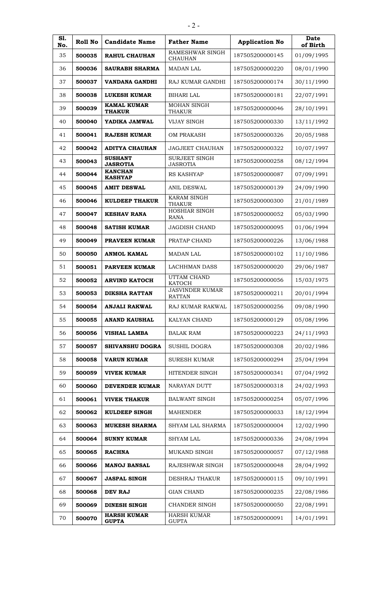| S1.<br>No. | Roll No | <b>Candidate Name</b>               | <b>Father Name</b>                      | <b>Application No</b> | <b>Date</b><br>of Birth |
|------------|---------|-------------------------------------|-----------------------------------------|-----------------------|-------------------------|
| 35         | 500035  | <b>RAHUL CHAUHAN</b>                | RAMESHWAR SINGH<br><b>CHAUHAN</b>       | 187505200000145       | 01/09/1995              |
| 36         | 500036  | <b>SAURABH SHARMA</b>               | <b>MADAN LAL</b>                        | 187505200000220       | 08/01/1990              |
| 37         | 500037  | <b>VANDANA GANDHI</b>               | RAJ KUMAR GANDHI                        | 187505200000174       | 30/11/1990              |
| 38         | 500038  | <b>LUKESH KUMAR</b>                 | <b>BIHARI LAL</b>                       | 187505200000181       | 22/07/1991              |
| 39         | 500039  | <b>KAMAL KUMAR</b><br><b>THAKUR</b> | <b>MOHAN SINGH</b><br>THAKUR            | 187505200000046       | 28/10/1991              |
| 40         | 500040  | YADIKA JAMWAL                       | <b>VIJAY SINGH</b>                      | 187505200000330       | 13/11/1992              |
| 41         | 500041  | <b>RAJESH KUMAR</b>                 | <b>OM PRAKASH</b>                       | 187505200000326       | 20/05/1988              |
| 42         | 500042  | <b>ADITYA CHAUHAN</b>               | <b>JAGJEET CHAUHAN</b>                  | 187505200000322       | 10/07/1997              |
| 43         | 500043  | <b>SUSHANT</b><br><b>JASROTIA</b>   | SURJEET SINGH<br><b>JASROTIA</b>        | 187505200000258       | 08/12/1994              |
| 44         | 500044  | <b>KANCHAN</b><br><b>KASHYAP</b>    | RS KASHYAP                              | 187505200000087       | 07/09/1991              |
| 45         | 500045  | <b>AMIT DESWAL</b>                  | <b>ANIL DESWAL</b>                      | 187505200000139       | 24/09/1990              |
| 46         | 500046  | <b>KULDEEP THAKUR</b>               | <b>KARAM SINGH</b><br><b>THAKUR</b>     | 187505200000300       | 21/01/1989              |
| 47         | 500047  | <b>KESHAV RANA</b>                  | HOSHIAR SINGH<br>RANA                   | 187505200000052       | 05/03/1990              |
| 48         | 500048  | <b>SATISH KUMAR</b>                 | <b>JAGDISH CHAND</b>                    | 187505200000095       | 01/06/1994              |
| 49         | 500049  | <b>PRAVEEN KUMAR</b>                | PRATAP CHAND                            | 187505200000226       | 13/06/1988              |
| 50         | 500050  | ANMOL KAMAL                         | <b>MADAN LAL</b>                        | 187505200000102       | 11/10/1986              |
| 51         | 500051  | <b>PARVEEN KUMAR</b>                | <b>LACHHMAN DASS</b>                    | 187505200000020       | 29/06/1987              |
| 52         | 500052  | <b>ARVIND KATOCH</b>                | UTTAM CHAND<br><b>KATOCH</b>            | 187505200000056       | 15/03/1975              |
| 53         | 500053  | <b>DIKSHA RATTAN</b>                | <b>JASVINDER KUMAR</b><br><b>RATTAN</b> | 187505200000211       | 20/01/1994              |
| 54         | 500054  | <b>ANJALI RAKWAL</b>                | RAJ KUMAR RAKWAL                        | 187505200000256       | 09/08/1990              |
| 55         | 500055  | <b>ANAND KAUSHAL</b>                | KALYAN CHAND                            | 187505200000129       | 05/08/1996              |
| 56         | 500056  | <b>VISHAL LAMBA</b>                 | <b>BALAK RAM</b>                        | 187505200000223       | 24/11/1993              |
| 57         | 500057  | <b>SHIVANSHU DOGRA</b>              | <b>SUSHIL DOGRA</b>                     | 187505200000308       | 20/02/1986              |
| 58         | 500058  | <b>VARUN KUMAR</b>                  | <b>SURESH KUMAR</b>                     | 187505200000294       | 25/04/1994              |
| 59         | 500059  | <b>VIVEK KUMAR</b>                  | HITENDER SINGH                          | 187505200000341       | 07/04/1992              |
| 60         | 500060  | DEVENDER KUMAR                      | NARAYAN DUTT                            | 187505200000318       | 24/02/1993              |
| 61         | 500061  | <b>VIVEK THAKUR</b>                 | <b>BALWANT SINGH</b>                    | 187505200000254       | 05/07/1996              |
| 62         | 500062  | <b>KULDEEP SINGH</b>                | <b>MAHENDER</b>                         | 187505200000033       | 18/12/1994              |
| 63         | 500063  | <b>MUKESH SHARMA</b>                | SHYAM LAL SHARMA                        | 187505200000004       | 12/02/1990              |
| 64         | 500064  | <b>SUNNY KUMAR</b>                  | <b>SHYAM LAL</b>                        | 187505200000336       | 24/08/1994              |
| 65         | 500065  | <b>RACHNA</b>                       | MUKAND SINGH                            | 187505200000057       | 07/12/1988              |
| 66         | 500066  | <b>MANOJ BANSAL</b>                 | RAJESHWAR SINGH                         | 187505200000048       | 28/04/1992              |
| 67         | 500067  | <b>JASPAL SINGH</b>                 | DESHRAJ THAKUR                          | 187505200000115       | 09/10/1991              |
| 68         | 500068  | <b>DEV RAJ</b>                      | <b>GIAN CHAND</b>                       | 187505200000235       | 22/08/1986              |
| 69         | 500069  | <b>DINESH SINGH</b>                 | <b>CHANDER SINGH</b>                    | 187505200000050       | 22/08/1991              |
| 70         | 500070  | <b>HARSH KUMAR</b><br><b>GUPTA</b>  | <b>HARSH KUMAR</b><br><b>GUPTA</b>      | 187505200000091       | 14/01/1991              |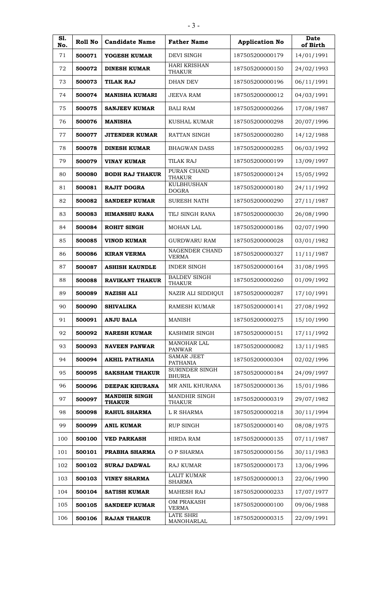| S1.<br>No. | Roll No | <b>Candidate Name</b>                 | <b>Father Name</b>                   | <b>Application No</b> | <b>Date</b><br>of Birth |
|------------|---------|---------------------------------------|--------------------------------------|-----------------------|-------------------------|
| 71         | 500071  | YOGESH KUMAR                          | <b>DEVI SINGH</b>                    | 187505200000179       | 14/01/1991              |
| 72         | 500072  | <b>DINESH KUMAR</b>                   | <b>HARI KRISHAN</b><br><b>THAKUR</b> | 187505200000150       | 24/02/1993              |
| 73         | 500073  | <b>TILAK RAJ</b>                      | <b>DHAN DEV</b>                      | 187505200000196       | 06/11/1991              |
| 74         | 500074  | <b>MANISHA KUMARI</b>                 | <b>JEEVA RAM</b>                     | 187505200000012       | 04/03/1991              |
| 75         | 500075  | <b>SANJEEV KUMAR</b>                  | <b>BALI RAM</b>                      | 187505200000266       | 17/08/1987              |
| 76         | 500076  | <b>MANISHA</b>                        | KUSHAL KUMAR                         | 187505200000298       | 20/07/1996              |
| 77         | 500077  | <b>JITENDER KUMAR</b>                 | RATTAN SINGH                         | 187505200000280       | 14/12/1988              |
| 78         | 500078  | <b>DINESH KUMAR</b>                   | <b>BHAGWAN DASS</b>                  | 187505200000285       | 06/03/1992              |
| 79         | 500079  | <b>VINAY KUMAR</b>                    | <b>TILAK RAJ</b>                     | 187505200000199       | 13/09/1997              |
| 80         | 500080  | <b>BODH RAJ THAKUR</b>                | PURAN CHAND<br><b>THAKUR</b>         | 187505200000124       | 15/05/1992              |
| 81         | 500081  | <b>RAJIT DOGRA</b>                    | <b>KULBHUSHAN</b><br><b>DOGRA</b>    | 187505200000180       | 24/11/1992              |
| 82         | 500082  | <b>SANDEEP KUMAR</b>                  | SURESH NATH                          | 187505200000290       | 27/11/1987              |
| 83         | 500083  | HIMANSHU RANA                         | TEJ SINGH RANA                       | 187505200000030       | 26/08/1990              |
| 84         | 500084  | <b>ROHIT SINGH</b>                    | MOHAN LAL                            | 187505200000186       | 02/07/1990              |
| 85         | 500085  | <b>VINOD KUMAR</b>                    | <b>GURDWARU RAM</b>                  | 187505200000028       | 03/01/1982              |
| 86         | 500086  | <b>KIRAN VERMA</b>                    | NAGENDER CHAND<br><b>VERMA</b>       | 187505200000327       | 11/11/1987              |
| 87         | 500087  | <b>ASHISH KAUNDLE</b>                 | <b>INDER SINGH</b>                   | 187505200000164       | 31/08/1995              |
| 88         | 500088  | <b>RAVIKANT THAKUR</b>                | <b>BALDEV SINGH</b><br><b>THAKUR</b> | 187505200000260       | 01/09/1992              |
| 89         | 500089  | <b>NAZISH ALI</b>                     | NAZIR ALI SIDDIQUI                   | 187505200000287       | 17/10/1991              |
| 90         | 500090  | <b>SHIVALIKA</b>                      | <b>RAMESH KUMAR</b>                  | 187505200000141       | 27/08/1992              |
| 91         | 500091  | <b>ANJU BALA</b>                      | <b>MANISH</b>                        | 187505200000275       | 15/10/1990              |
| 92         | 500092  | <b>NARESH KUMAR</b>                   | KASHMIR SINGH                        | 187505200000151       | 17/11/1992              |
| 93         | 500093  | <b>NAVEEN PANWAR</b>                  | MANOHAR LAL<br><b>PANWAR</b>         | 187505200000082       | 13/11/1985              |
| 94         | 500094  | <b>AKHIL PATHANIA</b>                 | <b>SAMAR JEET</b><br><b>PATHANIA</b> | 187505200000304       | 02/02/1996              |
| 95         | 500095  | <b>SAKSHAM THAKUR</b>                 | SURINDER SINGH<br><b>BHURIA</b>      | 187505200000184       | 24/09/1997              |
| 96         | 500096  | DEEPAK KHURANA                        | MR ANIL KHURANA                      | 187505200000136       | 15/01/1986              |
| 97         | 500097  | <b>MANDHIR SINGH</b><br><b>THAKUR</b> | MANDHIR SINGH<br><b>THAKUR</b>       | 187505200000319       | 29/07/1982              |
| 98         | 500098  | <b>RAHUL SHARMA</b>                   | L R SHARMA                           | 187505200000218       | 30/11/1994              |
| 99         | 500099  | <b>ANIL KUMAR</b>                     | <b>RUP SINGH</b>                     | 187505200000140       | 08/08/1975              |
| 100        | 500100  | <b>VED PARKASH</b>                    | <b>HIRDA RAM</b>                     | 187505200000135       | 07/11/1987              |
| 101        | 500101  | PRABHA SHARMA                         | O P SHARMA                           | 187505200000156       | 30/11/1983              |
| 102        | 500102  | <b>SURAJ DADWAL</b>                   | RAJ KUMAR                            | 187505200000173       | 13/06/1996              |
| 103        | 500103  | <b>VINEY SHARMA</b>                   | <b>LALIT KUMAR</b><br><b>SHARMA</b>  | 187505200000013       | 22/06/1990              |
| 104        | 500104  | <b>SATISH KUMAR</b>                   | <b>MAHESH RAJ</b>                    | 187505200000233       | 17/07/1977              |
| 105        | 500105  | <b>SANDEEP KUMAR</b>                  | <b>OM PRAKASH</b><br><b>VERMA</b>    | 187505200000100       | 09/06/1988              |
| 106        | 500106  | <b>RAJAN THAKUR</b>                   | <b>LATE SHRI</b><br>MANOHARLAL       | 187505200000315       | 22/09/1991              |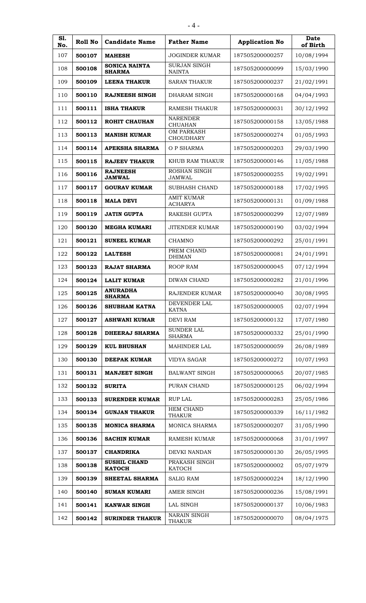| S1.<br>No. | Roll No | <b>Candidate Name</b>                 | <b>Father Name</b>                    | <b>Application No</b> | <b>Date</b><br>of Birth |
|------------|---------|---------------------------------------|---------------------------------------|-----------------------|-------------------------|
| 107        | 500107  | <b>MAHESH</b>                         | <b>JOGINDER KUMAR</b>                 | 187505200000257       | 10/08/1994              |
| 108        | 500108  | <b>SONICA NAINTA</b><br><b>SHARMA</b> | <b>SURJAN SINGH</b><br><b>NAINTA</b>  | 187505200000099       | 15/03/1990              |
| 109        | 500109  | <b>LEENA THAKUR</b>                   | <b>SARAN THAKUR</b>                   | 187505200000237       | 21/02/1991              |
| 110        | 500110  | <b>RAJNEESH SINGH</b>                 | DHARAM SINGH                          | 187505200000168       | 04/04/1993              |
| 111        | 500111  | <b>ISHA THAKUR</b>                    | RAMESH THAKUR                         | 187505200000031       | 30/12/1992              |
| 112        | 500112  | <b>ROHIT CHAUHAN</b>                  | <b>NARENDER</b><br><b>CHUAHAN</b>     | 187505200000158       | 13/05/1988              |
| 113        | 500113  | <b>MANISH KUMAR</b>                   | <b>OM PARKASH</b><br><b>CHOUDHARY</b> | 187505200000274       | 01/05/1993              |
| 114        | 500114  | APEKSHA SHARMA                        | O P SHARMA                            | 187505200000203       | 29/03/1990              |
| 115        | 500115  | <b>RAJEEV THAKUR</b>                  | KHUB RAM THAKUR                       | 187505200000146       | 11/05/1988              |
| 116        | 500116  | <b>RAJNEESH</b><br><b>JAMWAL</b>      | ROSHAN SINGH<br><b>JAMWAL</b>         | 187505200000255       | 19/02/1991              |
| 117        | 500117  | <b>GOURAV KUMAR</b>                   | <b>SUBHASH CHAND</b>                  | 187505200000188       | 17/02/1995              |
| 118        | 500118  | <b>MALA DEVI</b>                      | <b>AMIT KUMAR</b><br><b>ACHARYA</b>   | 187505200000131       | 01/09/1988              |
| 119        | 500119  | <b>JATIN GUPTA</b>                    | RAKESH GUPTA                          | 187505200000299       | 12/07/1989              |
| 120        | 500120  | MEGHA KUMARI                          | <b>JITENDER KUMAR</b>                 | 187505200000190       | 03/02/1994              |
| 121        | 500121  | <b>SUNEEL KUMAR</b>                   | CHAMNO                                | 187505200000292       | 25/01/1991              |
| 122        | 500122  | <b>LALTESH</b>                        | PREM CHAND<br><b>DHIMAN</b>           | 187505200000081       | 24/01/1991              |
| 123        | 500123  | RAJAT SHARMA                          | ROOP RAM                              | 187505200000045       | 07/12/1994              |
| 124        | 500124  | <b>LALIT KUMAR</b>                    | DIWAN CHAND                           | 187505200000282       | 21/01/1996              |
| 125        | 500125  | <b>ANURADHA</b><br><b>SHARMA</b>      | RAJENDER KUMAR                        | 187505200000040       | 30/08/1995              |
| 126        | 500126  | <b>SHUBHAM KATNA</b>                  | DEVENDER LAL<br><b>KATNA</b>          | 187505200000005       | 02/07/1994              |
| 127        | 500127  | <b>ASHWANI KUMAR</b>                  | <b>DEVI RAM</b>                       | 187505200000132       | 17/07/1980              |
| 128        | 500128  | <b>DHEERAJ SHARMA</b>                 | <b>SUNDER LAL</b><br><b>SHARMA</b>    | 187505200000332       | 25/01/1990              |
| 129        | 500129  | <b>KUL BHUSHAN</b>                    | <b>MAHINDER LAL</b>                   | 187505200000059       | 26/08/1989              |
| 130        | 500130  | <b>DEEPAK KUMAR</b>                   | <b>VIDYA SAGAR</b>                    | 187505200000272       | 10/07/1993              |
| 131        | 500131  | <b>MANJEET SINGH</b>                  | <b>BALWANT SINGH</b>                  | 187505200000065       | 20/07/1985              |
| 132        | 500132  | <b>SURITA</b>                         | PURAN CHAND                           | 187505200000125       | 06/02/1994              |
| 133        | 500133  | <b>SURENDER KUMAR</b>                 | <b>RUP LAL</b>                        | 187505200000283       | 25/05/1986              |
| 134        | 500134  | <b>GUNJAN THAKUR</b>                  | <b>HEM CHAND</b><br><b>THAKUR</b>     | 187505200000339       | 16/11/1982              |
| 135        | 500135  | <b>MONICA SHARMA</b>                  | MONICA SHARMA                         | 187505200000207       | 31/05/1990              |
| 136        | 500136  | <b>SACHIN KUMAR</b>                   | <b>RAMESH KUMAR</b>                   | 187505200000068       | 31/01/1997              |
| 137        | 500137  | <b>CHANDRIKA</b>                      | DEVKI NANDAN                          | 187505200000130       | 26/05/1995              |
| 138        | 500138  | <b>SUSHIL CHAND</b><br><b>KATOCH</b>  | PRAKASH SINGH<br><b>KATOCH</b>        | 187505200000002       | 05/07/1979              |
| 139        | 500139  | SHEETAL SHARMA                        | <b>SALIG RAM</b>                      | 187505200000224       | 18/12/1990              |
| 140        | 500140  | <b>SUMAN KUMARI</b>                   | AMER SINGH                            | 187505200000236       | 15/08/1991              |
| 141        | 500141  | <b>KANWAR SINGH</b>                   | LAL SINGH                             | 187505200000137       | 10/06/1983              |
| 142        | 500142  | <b>SURINDER THAKUR</b>                | <b>NARAIN SINGH</b><br><b>THAKUR</b>  | 187505200000070       | 08/04/1975              |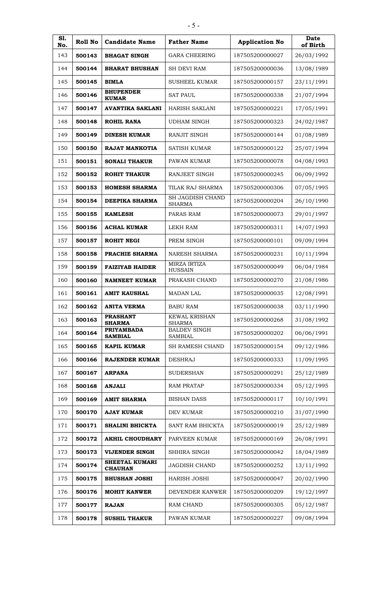| S1.<br>No. | Roll No | <b>Candidate Name</b>               | <b>Father Name</b>                    | <b>Application No</b> | <b>Date</b><br>of Birth |
|------------|---------|-------------------------------------|---------------------------------------|-----------------------|-------------------------|
| 143        | 500143  | <b>BHAGAT SINGH</b>                 | <b>GARA CHEERING</b>                  | 187505200000027       | 26/03/1992              |
| 144        | 500144  | <b>BHARAT BHUSHAN</b>               | <b>SH DEVI RAM</b>                    | 187505200000036       | 13/08/1989              |
| 145        | 500145  | <b>BIMLA</b>                        | <b>SUSHEEL KUMAR</b>                  | 187505200000157       | 23/11/1991              |
| 146        | 500146  | <b>BHUPENDER</b><br><b>KUMAR</b>    | <b>SAT PAUL</b>                       | 187505200000338       | 21/07/1994              |
| 147        | 500147  | <b>AVANTIKA SAKLANI</b>             | HARISH SAKLANI                        | 187505200000221       | 17/05/1991              |
| 148        | 500148  | <b>ROHIL RANA</b>                   | <b>UDHAM SINGH</b>                    | 187505200000323       | 24/02/1987              |
| 149        | 500149  | <b>DINESH KUMAR</b>                 | <b>RANJIT SINGH</b>                   | 187505200000144       | 01/08/1989              |
| 150        | 500150  | RAJAT MANKOTIA                      | <b>SATISH KUMAR</b>                   | 187505200000122       | 25/07/1994              |
| 151        | 500151  | <b>SONALI THAKUR</b>                | PAWAN KUMAR                           | 187505200000078       | 04/08/1993              |
| 152        | 500152  | <b>ROHIT THAKUR</b>                 | RANJEET SINGH                         | 187505200000245       | 06/09/1992              |
| 153        | 500153  | <b>HOMESH SHARMA</b>                | TILAK RAJ SHARMA                      | 187505200000306       | 07/05/1995              |
| 154        | 500154  | DEEPIKA SHARMA                      | SH JAGDISH CHAND<br><b>SHARMA</b>     | 187505200000204       | 26/10/1990              |
| 155        | 500155  | <b>KAMLESH</b>                      | PARAS RAM                             | 187505200000073       | 29/01/1997              |
| 156        | 500156  | <b>ACHAL KUMAR</b>                  | <b>LEKH RAM</b>                       | 187505200000311       | 14/07/1993              |
| 157        | 500157  | <b>ROHIT NEGI</b>                   | PREM SINGH                            | 187505200000101       | 09/09/1994              |
| 158        | 500158  | PRACHIE SHARMA                      | <b>NARESH SHARMA</b>                  | 187505200000231       | 10/11/1994              |
| 159        | 500159  | <b>FAIZIYAB HAIDER</b>              | MIRZA IRTIZA<br><b>HUSSAIN</b>        | 187505200000049       | 06/04/1984              |
| 160        | 500160  | <b>NAMNEET KUMAR</b>                | PRAKASH CHAND                         | 187505200000270       | 21/08/1986              |
| 161        | 500161  | <b>AMIT KAUSHAL</b>                 | <b>MADAN LAL</b>                      | 187505200000035       | 12/08/1991              |
| 162        | 500162  | <b>ANITA VERMA</b>                  | <b>BABU RAM</b>                       | 187505200000038       | 03/11/1990              |
| 163        | 500163  | <b>PRASHANT</b><br><b>SHARMA</b>    | <b>KEWAL KRISHAN</b><br><b>SHARMA</b> | 187505200000268       | 31/08/1992              |
| 164        | 500164  | <b>PRIYAMBADA</b><br><b>SAMBIAL</b> | <b>BALDEV SINGH</b><br><b>SAMBIAL</b> | 187505200000202       | 06/06/1991              |
| 165        | 500165  | <b>KAPIL KUMAR</b>                  | SH RAMESH CHAND                       | 187505200000154       | 09/12/1986              |
| 166        | 500166  | <b>RAJENDER KUMAR</b>               | <b>DESHRAJ</b>                        | 187505200000333       | 11/09/1995              |
| 167        | 500167  | <b>ARPANA</b>                       | <b>SUDERSHAN</b>                      | 187505200000291       | 25/12/1989              |
| 168        | 500168  | <b>ANJALI</b>                       | <b>RAM PRATAP</b>                     | 187505200000334       | 05/12/1995              |
| 169        | 500169  | <b>AMIT SHARMA</b>                  | <b>BISHAN DASS</b>                    | 187505200000117       | 10/10/1991              |
| 170        | 500170  | <b>AJAY KUMAR</b>                   | DEV KUMAR                             | 187505200000210       | 31/07/1990              |
| 171        | 500171  | SHALINI BHICKTA                     | SANT RAM BHICKTA                      | 187505200000019       | 25/12/1989              |
| 172        | 500172  | <b>AKHIL CHOUDHARY</b>              | PARVEEN KUMAR                         | 187505200000169       | 26/08/1991              |
| 173        | 500173  | <b>VIJENDER SINGH</b>               | SHHIRA SINGH                          | 187505200000042       | 18/04/1989              |
| 174        | 500174  | SHEETAL KUMARI<br><b>CHAUHAN</b>    | JAGDISH CHAND                         | 187505200000252       | 13/11/1992              |
| 175        | 500175  | <b>BHUSHAN JOSHI</b>                | HARISH JOSHI                          | 187505200000047       | 20/02/1990              |
| 176        | 500176  | <b>MOHIT KANWER</b>                 | DEVENDER KANWER                       | 187505200000209       | 19/12/1997              |
| 177        | 500177  | <b>RAJAN</b>                        | <b>RAM CHAND</b>                      | 187505200000305       | 05/12/1987              |
| 178        | 500178  | <b>SUSHIL THAKUR</b>                | PAWAN KUMAR                           | 187505200000227       | 09/08/1994              |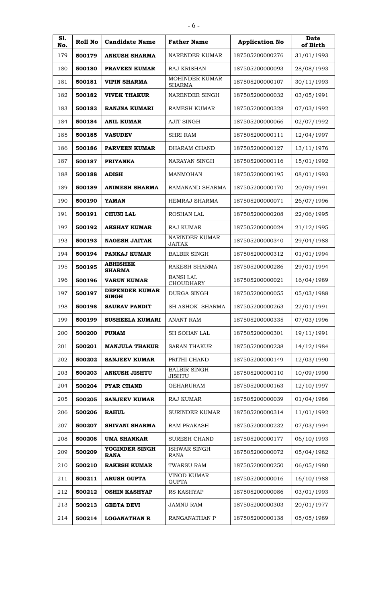| S1.<br>No. | Roll No | <b>Candidate Name</b>            | <b>Father Name</b>                   | <b>Application No</b> | <b>Date</b><br>of Birth |
|------------|---------|----------------------------------|--------------------------------------|-----------------------|-------------------------|
| 179        | 500179  | <b>ANKUSH SHARMA</b>             | NARENDER KUMAR                       | 187505200000276       | 31/01/1993              |
| 180        | 500180  | <b>PRAVEEN KUMAR</b>             | RAJ KRISHAN                          | 187505200000093       | 28/08/1993              |
| 181        | 500181  | <b>VIPIN SHARMA</b>              | MOHINDER KUMAR<br><b>SHARMA</b>      | 187505200000107       | 30/11/1993              |
| 182        | 500182  | <b>VIVEK THAKUR</b>              | NARENDER SINGH                       | 187505200000032       | 03/05/1991              |
| 183        | 500183  | RANJNA KUMARI                    | RAMESH KUMAR                         | 187505200000328       | 07/03/1992              |
| 184        | 500184  | <b>ANIL KUMAR</b>                | AJIT SINGH                           | 187505200000066       | 02/07/1992              |
| 185        | 500185  | <b>VASUDEV</b>                   | <b>SHRI RAM</b>                      | 187505200000111       | 12/04/1997              |
| 186        | 500186  | <b>PARVEEN KUMAR</b>             | DHARAM CHAND                         | 187505200000127       | 13/11/1976              |
| 187        | 500187  | <b>PRIYANKA</b>                  | NARAYAN SINGH                        | 187505200000116       | 15/01/1992              |
| 188        | 500188  | <b>ADISH</b>                     | <b>MANMOHAN</b>                      | 187505200000195       | 08/01/1993              |
| 189        | 500189  | <b>ANIMESH SHARMA</b>            | RAMANAND SHARMA                      | 187505200000170       | 20/09/1991              |
| 190        | 500190  | <b>YAMAN</b>                     | <b>HEMRAJ SHARMA</b>                 | 187505200000071       | 26/07/1996              |
| 191        | 500191  | <b>CHUNI LAL</b>                 | ROSHAN LAL                           | 187505200000208       | 22/06/1995              |
| 192        | 500192  | <b>AKSHAY KUMAR</b>              | <b>RAJ KUMAR</b>                     | 187505200000024       | 21/12/1995              |
| 193        | 500193  | <b>NAGESH JAITAK</b>             | NARINDER KUMAR<br><b>JAITAK</b>      | 187505200000340       | 29/04/1988              |
| 194        | 500194  | PANKAJ KUMAR                     | <b>BALBIR SINGH</b>                  | 187505200000312       | 01/01/1994              |
| 195        | 500195  | <b>ABHISHEK</b><br><b>SHARMA</b> | RAKESH SHARMA                        | 187505200000286       | 29/01/1994              |
| 196        | 500196  | <b>VARUN KUMAR</b>               | <b>BANSI LAL</b><br><b>CHOUDHARY</b> | 187505200000021       | 16/04/1989              |
| 197        | 500197  | DEPENDER KUMAR<br><b>SINGH</b>   | DURGA SINGH                          | 187505200000055       | 05/03/1988              |
| 198        | 500198  | <b>SAURAV PANDIT</b>             | SH ASHOK SHARMA                      | 187505200000263       | 22/01/1991              |
| 199        | 500199  | <b>SUSHEELA KUMARI</b>           | <b>ANANT RAM</b>                     | 187505200000335       | 07/03/1996              |
| 200        | 500200  | <b>PUNAM</b>                     | <b>SH SOHAN LAL</b>                  | 187505200000301       | 19/11/1991              |
| 201        | 500201  | <b>MANJULA THAKUR</b>            | <b>SARAN THAKUR</b>                  | 187505200000238       | 14/12/1984              |
| 202        | 500202  | <b>SANJEEV KUMAR</b>             | PRITHI CHAND                         | 187505200000149       | 12/03/1990              |
| 203        | 500203  | <b>ANKUSH JISHTU</b>             | <b>BALBIR SINGH</b><br><b>JISHTU</b> | 187505200000110       | 10/09/1990              |
| 204        | 500204  | <b>PYAR CHAND</b>                | <b>GEHARURAM</b>                     | 187505200000163       | 12/10/1997              |
| 205        | 500205  | <b>SANJEEV KUMAR</b>             | <b>RAJ KUMAR</b>                     | 187505200000039       | 01/04/1986              |
| 206        | 500206  | <b>RAHUL</b>                     | <b>SURINDER KUMAR</b>                | 187505200000314       | 11/01/1992              |
| 207        | 500207  | <b>SHIVANI SHARMA</b>            | <b>RAM PRAKASH</b>                   | 187505200000232       | 07/03/1994              |
| 208        | 500208  | <b>UMA SHANKAR</b>               | <b>SURESH CHAND</b>                  | 187505200000177       | 06/10/1993              |
| 209        | 500209  | YOGINDER SINGH<br><b>RANA</b>    | ISHWAR SINGH<br><b>RANA</b>          | 187505200000072       | 05/04/1982              |
| 210        | 500210  | <b>RAKESH KUMAR</b>              | TWARSU RAM                           | 187505200000250       | 06/05/1980              |
| 211        | 500211  | <b>ARUSH GUPTA</b>               | <b>VINOD KUMAR</b><br><b>GUPTA</b>   | 187505200000016       | 16/10/1988              |
| 212        | 500212  | <b>OSHIN KASHYAP</b>             | RS KASHYAP                           | 187505200000086       | 03/01/1993              |
| 213        | 500213  | <b>GEETA DEVI</b>                | <b>JAMNU RAM</b>                     | 187505200000303       | 20/01/1977              |
| 214        | 500214  | <b>LOGANATHAN R</b>              | RANGANATHAN P                        | 187505200000138       | 05/05/1989              |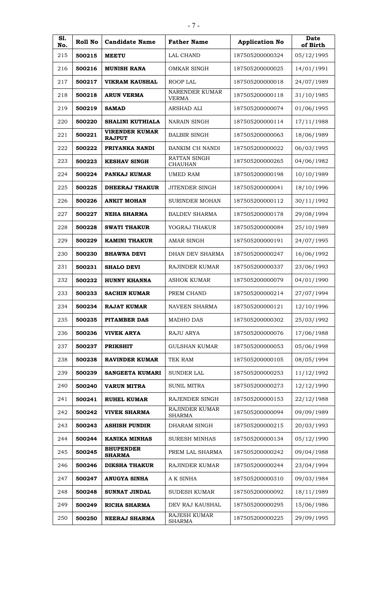| S1.<br>No. | Roll No | <b>Candidate Name</b>                  | <b>Father Name</b>                    | <b>Application No</b> | Date<br>of Birth |
|------------|---------|----------------------------------------|---------------------------------------|-----------------------|------------------|
| 215        | 500215  | <b>MEETU</b>                           | <b>LAL CHAND</b>                      | 187505200000324       | 05/12/1995       |
| 216        | 500216  | <b>MUNISH RANA</b>                     | OMKAR SINGH                           | 187505200000025       | 14/01/1991       |
| 217        | 500217  | <b>VIKRAM KAUSHAL</b>                  | <b>ROOP LAL</b>                       | 187505200000018       | 24/07/1989       |
| 218        | 500218  | <b>ARUN VERMA</b>                      | NARENDER KUMAR<br><b>VERMA</b>        | 187505200000118       | 31/10/1985       |
| 219        | 500219  | <b>SAMAD</b>                           | ARSHAD ALI                            | 187505200000074       | 01/06/1995       |
| 220        | 500220  | SHALINI KUTHIALA                       | <b>NARAIN SINGH</b>                   | 187505200000114       | 17/11/1988       |
| 221        | 500221  | <b>VIRENDER KUMAR</b><br><b>RAJPUT</b> | <b>BALBIR SINGH</b>                   | 187505200000063       | 18/06/1989       |
| 222        | 500222  | PRIYANKA NANDI                         | BANKIM CH NANDI                       | 187505200000022       | 06/03/1995       |
| 223        | 500223  | <b>KESHAV SINGH</b>                    | <b>RATTAN SINGH</b><br><b>CHAUHAN</b> | 187505200000265       | 04/06/1982       |
| 224        | 500224  | PANKAJ KUMAR                           | <b>UMED RAM</b>                       | 187505200000198       | 10/10/1989       |
| 225        | 500225  | <b>DHEERAJ THAKUR</b>                  | <b>JITENDER SINGH</b>                 | 187505200000041       | 18/10/1996       |
| 226        | 500226  | <b>ANKIT MOHAN</b>                     | <b>SURINDER MOHAN</b>                 | 187505200000112       | 30/11/1992       |
| 227        | 500227  | <b>NEHA SHARMA</b>                     | <b>BALDEV SHARMA</b>                  | 187505200000178       | 29/08/1994       |
| 228        | 500228  | <b>SWATI THAKUR</b>                    | YOGRAJ THAKUR                         | 187505200000084       | 25/10/1989       |
| 229        | 500229  | <b>KAMINI THAKUR</b>                   | <b>AMAR SINGH</b>                     | 187505200000191       | 24/07/1995       |
| 230        | 500230  | <b>BHAWNA DEVI</b>                     | DHAN DEV SHARMA                       | 187505200000247       | 16/06/1992       |
| 231        | 500231  | <b>SHALO DEVI</b>                      | RAJINDER KUMAR                        | 187505200000337       | 23/06/1993       |
| 232        | 500232  | <b>HUNNY KHANNA</b>                    | <b>ASHOK KUMAR</b>                    | 187505200000079       | 04/01/1990       |
| 233        | 500233  | <b>SACHIN KUMAR</b>                    | PREM CHAND                            | 187505200000214       | 27/07/1994       |
| 234        | 500234  | <b>RAJAT KUMAR</b>                     | <b>NAVEEN SHARMA</b>                  | 187505200000121       | 12/10/1996       |
| 235        | 500235  | PITAMBER DAS                           | <b>MADHO DAS</b>                      | 187505200000302       | 25/03/1992       |
| 236        | 500236  | <b>VIVEK ARYA</b>                      | RAJU ARYA                             | 187505200000076       | 17/06/1988       |
| 237        | 500237  | <b>PRIKSHIT</b>                        | <b>GULSHAN KUMAR</b>                  | 187505200000053       | 05/06/1998       |
| 238        | 500238  | <b>RAVINDER KUMAR</b>                  | TEK RAM                               | 187505200000105       | 08/05/1994       |
| 239        | 500239  | <b>SANGEETA KUMARI</b>                 | <b>SUNDER LAL</b>                     | 187505200000253       | 11/12/1992       |
| 240        | 500240  | <b>VARUN MITRA</b>                     | <b>SUNIL MITRA</b>                    | 187505200000273       | 12/12/1990       |
| 241        | 500241  | <b>RUHEL KUMAR</b>                     | RAJENDER SINGH                        | 187505200000153       | 22/12/1988       |
| 242        | 500242  | <b>VIVEK SHARMA</b>                    | RAJINDER KUMAR<br><b>SHARMA</b>       | 187505200000094       | 09/09/1989       |
| 243        | 500243  | <b>ASHISH PUNDIR</b>                   | DHARAM SINGH                          | 187505200000215       | 20/03/1993       |
| 244        | 500244  | <b>KANIKA MINHAS</b>                   | <b>SURESH MINHAS</b>                  | 187505200000134       | 05/12/1990       |
| 245        | 500245  | <b>BHUPENDER</b><br><b>SHARMA</b>      | PREM LAL SHARMA                       | 187505200000242       | 09/04/1988       |
| 246        | 500246  | <b>DIKSHA THAKUR</b>                   | RAJINDER KUMAR                        | 187505200000244       | 23/04/1994       |
| 247        | 500247  | <b>ANUGYA SINHA</b>                    | A K SINHA                             | 187505200000310       | 09/03/1984       |
| 248        | 500248  | SUNNAT JINDAL                          | <b>SUDESH KUMAR</b>                   | 187505200000092       | 18/11/1989       |
| 249        | 500249  | <b>RICHA SHARMA</b>                    | DEV RAJ KAUSHAL                       | 187505200000295       | 15/06/1986       |
| 250        | 500250  | <b>NEERAJ SHARMA</b>                   | RAJESH KUMAR<br><b>SHARMA</b>         | 187505200000225       | 29/09/1995       |